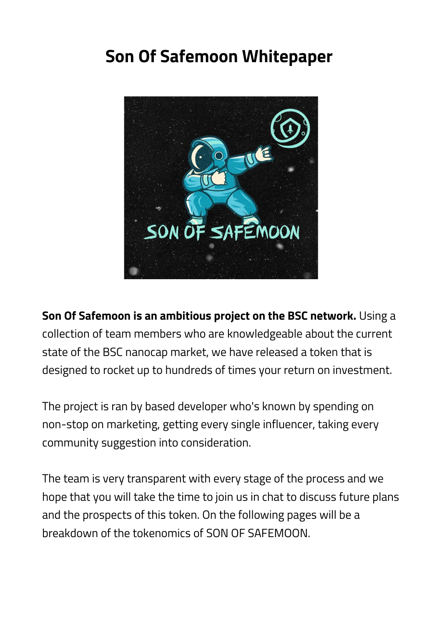# **Son Of Safemoon Whitepaper**



**Son Of Safemoon is an ambitious project on the BSC network.** Using a collection of team members who are knowledgeable about the current state of the BSC nanocap market, we have released a token that is designed to rocket up to hundreds of times your return on investment.

The project is ran by based developer who's known by spending on non-stop on marketing, getting every single influencer, taking every community suggestion into consideration.

The team is very transparent with every stage of the process and we hope that you will take the time to join us in chat to discuss future plans and the prospects of this token. On the following pages will be a breakdown of the tokenomics of SON OF SAFEMOON.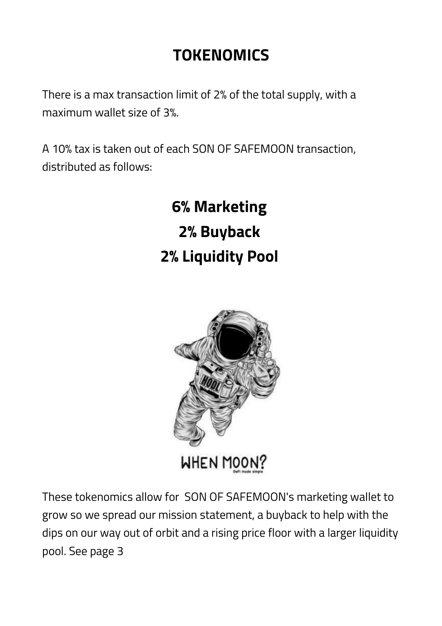# **TOKENOMICS**

There is a max transaction limit of 2% of the total supply, with a maximum wallet size of 3%.

A 10% tax is taken out of each SON OF SAFEMOON transaction, distributed as follows:

> **6% Marketing 2% Buyback 2% Liquidity Pool**



These tokenomics allow for SON OF SAFEMOON's marketing wallet to grow so we spread our mission statement, a buyback to help with the dips on our way out of orbit and a rising price floor with a larger liquidity pool. See page 3